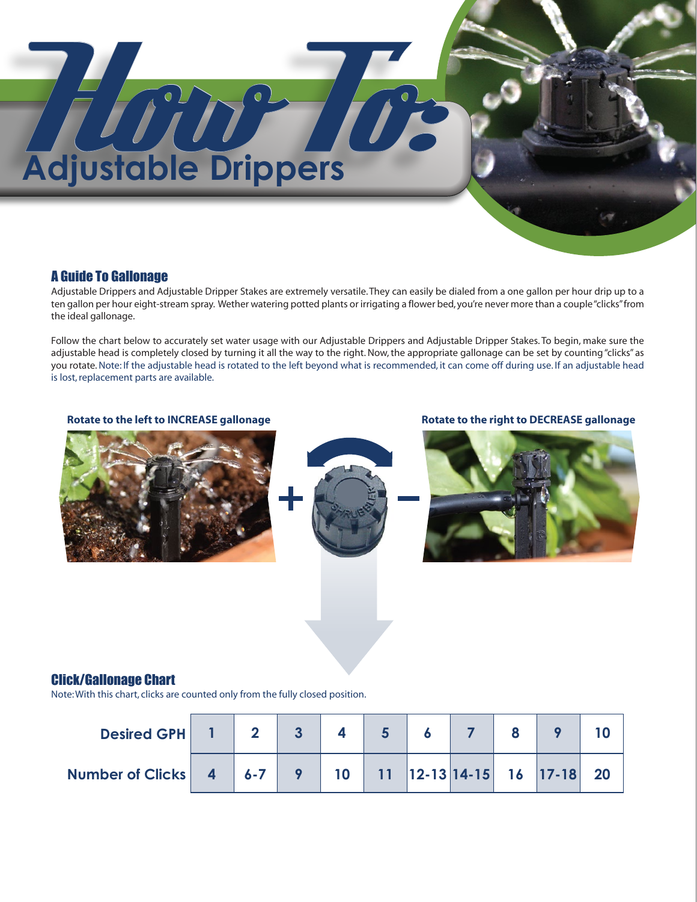# **Adjustable Drippers**

## A Guide To Gallonage

Adjustable Drippers and Adjustable Dripper Stakes are extremely versatile. They can easily be dialed from a one gallon per hour drip up to a ten gallon per hour eight-stream spray. Wether watering potted plants or irrigating a flower bed, you're never more than a couple "clicks" from the ideal gallonage.

Follow the chart below to accurately set water usage with our Adjustable Drippers and Adjustable Dripper Stakes. To begin, make sure the adjustable head is completely closed by turning it all the way to the right. Now, the appropriate gallonage can be set by counting "clicks" as you rotate. Note: If the adjustable head is rotated to the left beyond what is recommended, it can come off during use. If an adjustable head is lost, replacement parts are available.

### **Rotate to the left to INCREASE gallonage Rotate to the right to DECREASE gallonage**



### Click/Gallonage Chart

Note: With this chart, clicks are counted only from the fully closed position.

| Desired GPH 1 2 3                                                          |  |  |  |  |  |
|----------------------------------------------------------------------------|--|--|--|--|--|
| Number of Clicks   4   6-7   9   10   11   12-13   14-15   16   17-18   20 |  |  |  |  |  |